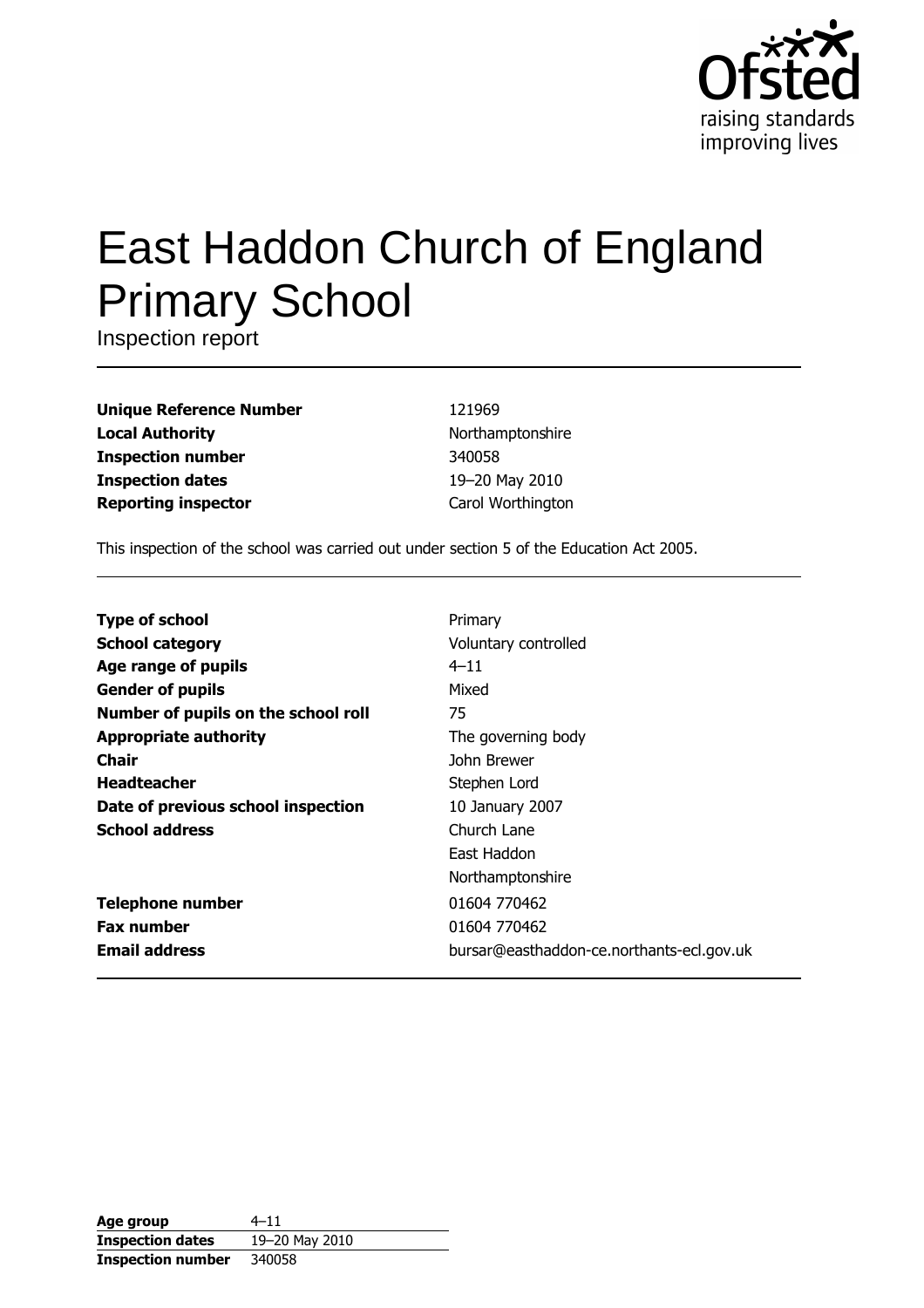

# East Haddon Church of England **Primary School**

Inspection report

**Unique Reference Number Local Authority Inspection number Inspection dates Reporting inspector** 

121969 Northamptonshire 340058 19-20 May 2010 Carol Worthington

This inspection of the school was carried out under section 5 of the Education Act 2005.

| <b>Type of school</b>               | Primary                                   |
|-------------------------------------|-------------------------------------------|
| <b>School category</b>              | Voluntary controlled                      |
| Age range of pupils                 | $4 - 11$                                  |
| <b>Gender of pupils</b>             | Mixed                                     |
| Number of pupils on the school roll | 75                                        |
| <b>Appropriate authority</b>        | The governing body                        |
| <b>Chair</b>                        | John Brewer                               |
| <b>Headteacher</b>                  | Stephen Lord                              |
| Date of previous school inspection  | 10 January 2007                           |
| <b>School address</b>               | Church Lane                               |
|                                     | East Haddon                               |
|                                     | Northamptonshire                          |
| <b>Telephone number</b>             | 01604 770462                              |
| <b>Fax number</b>                   | 01604 770462                              |
| <b>Email address</b>                | bursar@easthaddon-ce.northants-ecl.gov.uk |

| Age group                | $4 - 11$       |
|--------------------------|----------------|
| <b>Inspection dates</b>  | 19-20 May 2010 |
| <b>Inspection number</b> | 340058         |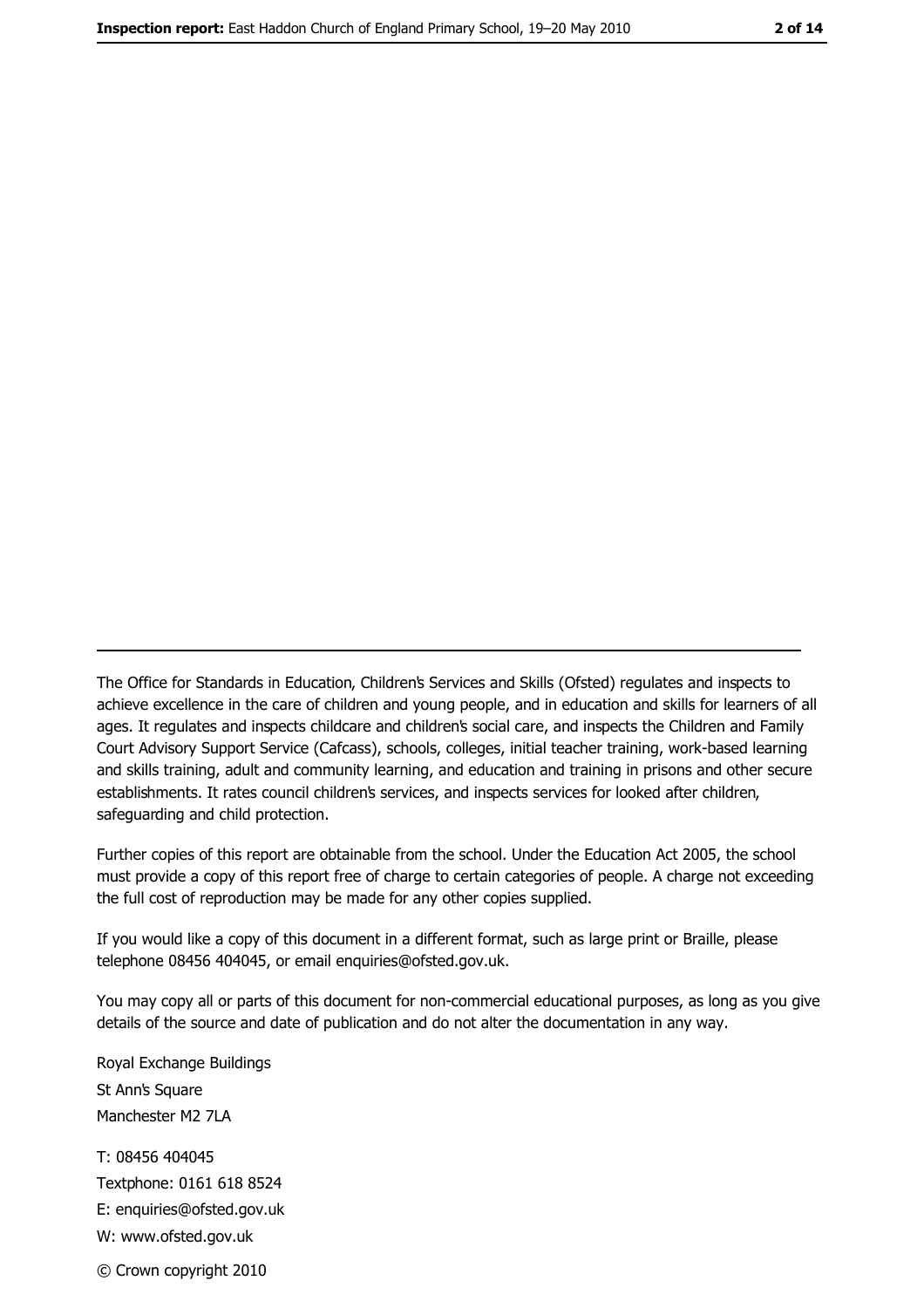The Office for Standards in Education, Children's Services and Skills (Ofsted) regulates and inspects to achieve excellence in the care of children and young people, and in education and skills for learners of all ages. It regulates and inspects childcare and children's social care, and inspects the Children and Family Court Advisory Support Service (Cafcass), schools, colleges, initial teacher training, work-based learning and skills training, adult and community learning, and education and training in prisons and other secure establishments. It rates council children's services, and inspects services for looked after children, safequarding and child protection.

Further copies of this report are obtainable from the school. Under the Education Act 2005, the school must provide a copy of this report free of charge to certain categories of people. A charge not exceeding the full cost of reproduction may be made for any other copies supplied.

If you would like a copy of this document in a different format, such as large print or Braille, please telephone 08456 404045, or email enquiries@ofsted.gov.uk.

You may copy all or parts of this document for non-commercial educational purposes, as long as you give details of the source and date of publication and do not alter the documentation in any way.

Royal Exchange Buildings St Ann's Square Manchester M2 7LA T: 08456 404045 Textphone: 0161 618 8524 E: enquiries@ofsted.gov.uk W: www.ofsted.gov.uk © Crown copyright 2010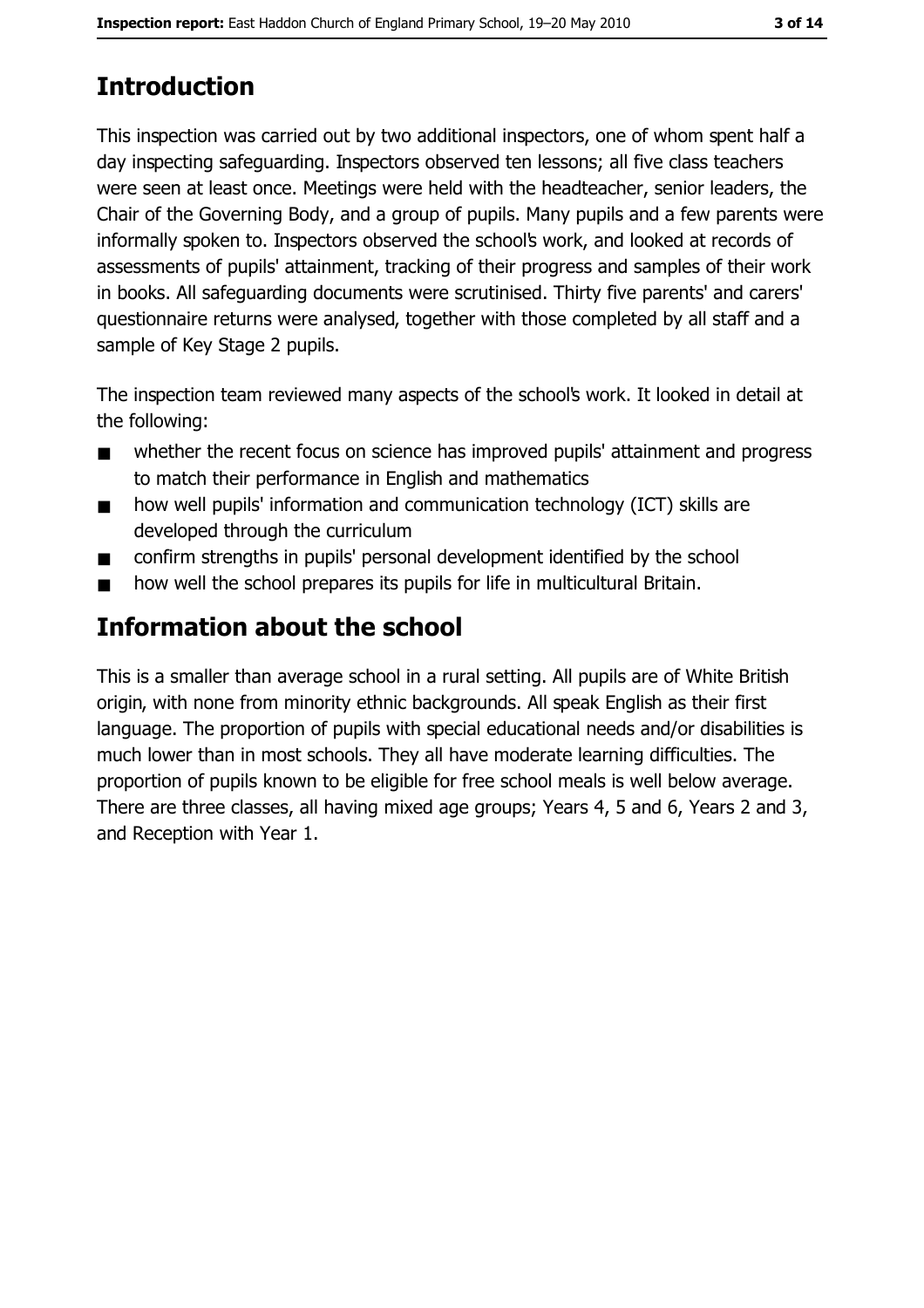# **Introduction**

This inspection was carried out by two additional inspectors, one of whom spent half a day inspecting safeguarding. Inspectors observed ten lessons; all five class teachers were seen at least once. Meetings were held with the headteacher, senior leaders, the Chair of the Governing Body, and a group of pupils. Many pupils and a few parents were informally spoken to. Inspectors observed the school's work, and looked at records of assessments of pupils' attainment, tracking of their progress and samples of their work in books. All safeguarding documents were scrutinised. Thirty five parents' and carers' questionnaire returns were analysed, together with those completed by all staff and a sample of Key Stage 2 pupils.

The inspection team reviewed many aspects of the school's work. It looked in detail at the following:

- whether the recent focus on science has improved pupils' attainment and progress  $\blacksquare$ to match their performance in English and mathematics
- how well pupils' information and communication technology (ICT) skills are  $\blacksquare$ developed through the curriculum
- confirm strengths in pupils' personal development identified by the school  $\blacksquare$
- how well the school prepares its pupils for life in multicultural Britain.  $\blacksquare$

## **Information about the school**

This is a smaller than average school in a rural setting. All pupils are of White British origin, with none from minority ethnic backgrounds. All speak English as their first language. The proportion of pupils with special educational needs and/or disabilities is much lower than in most schools. They all have moderate learning difficulties. The proportion of pupils known to be eligible for free school meals is well below average. There are three classes, all having mixed age groups; Years 4, 5 and 6, Years 2 and 3, and Reception with Year 1.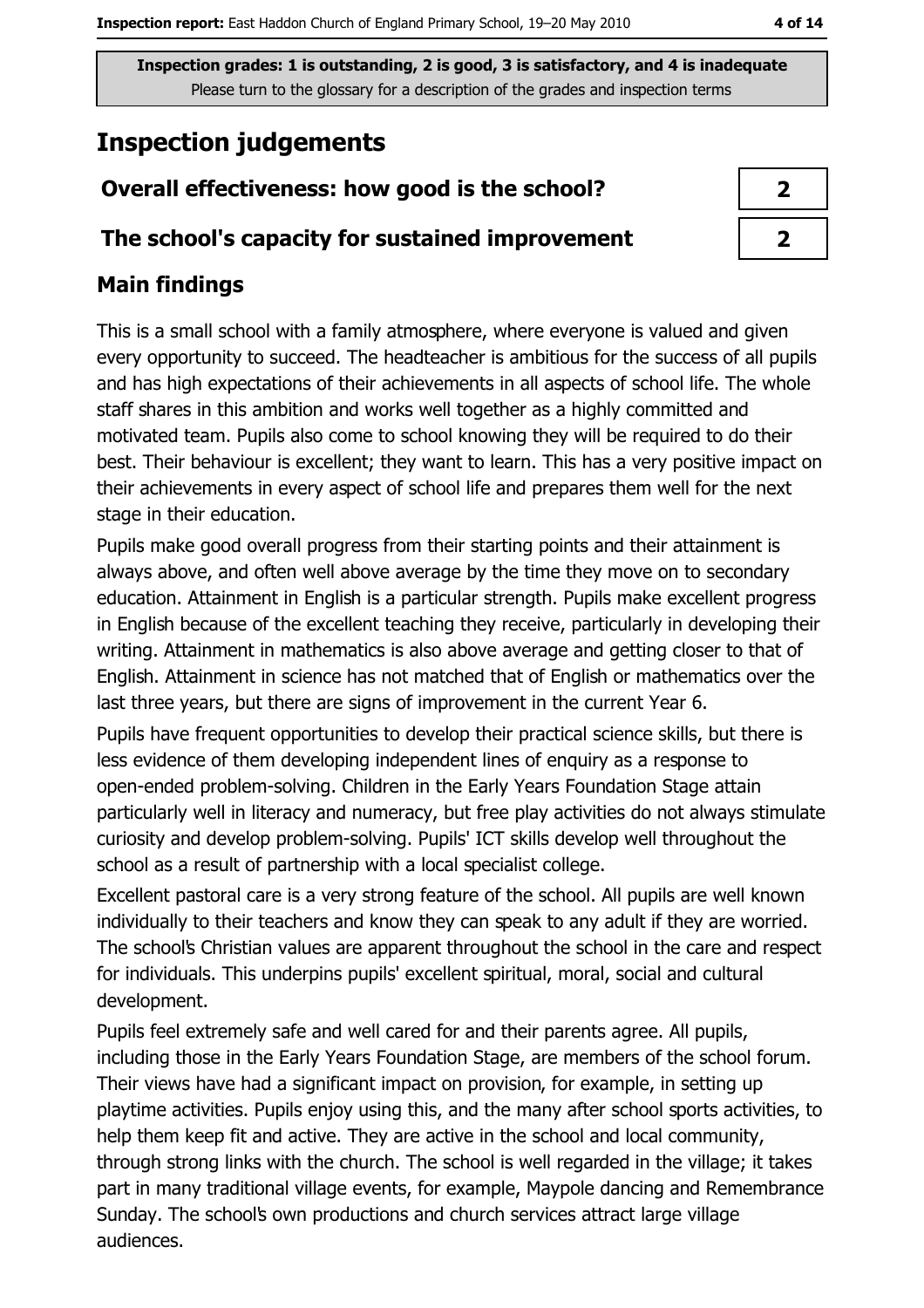## **Inspection judgements**

## Overall effectiveness: how good is the school?

#### The school's capacity for sustained improvement

### **Main findings**

This is a small school with a family atmosphere, where everyone is valued and given every opportunity to succeed. The headteacher is ambitious for the success of all pupils and has high expectations of their achievements in all aspects of school life. The whole staff shares in this ambition and works well together as a highly committed and motivated team. Pupils also come to school knowing they will be required to do their best. Their behaviour is excellent; they want to learn. This has a very positive impact on their achievements in every aspect of school life and prepares them well for the next stage in their education.

Pupils make good overall progress from their starting points and their attainment is always above, and often well above average by the time they move on to secondary education. Attainment in English is a particular strength. Pupils make excellent progress in English because of the excellent teaching they receive, particularly in developing their writing. Attainment in mathematics is also above average and getting closer to that of English. Attainment in science has not matched that of English or mathematics over the last three years, but there are signs of improvement in the current Year 6.

Pupils have frequent opportunities to develop their practical science skills, but there is less evidence of them developing independent lines of enguiry as a response to open-ended problem-solving. Children in the Early Years Foundation Stage attain particularly well in literacy and numeracy, but free play activities do not always stimulate curiosity and develop problem-solving. Pupils' ICT skills develop well throughout the school as a result of partnership with a local specialist college.

Excellent pastoral care is a very strong feature of the school. All pupils are well known individually to their teachers and know they can speak to any adult if they are worried. The school's Christian values are apparent throughout the school in the care and respect for individuals. This underpins pupils' excellent spiritual, moral, social and cultural development.

Pupils feel extremely safe and well cared for and their parents agree. All pupils, including those in the Early Years Foundation Stage, are members of the school forum. Their views have had a significant impact on provision, for example, in setting up playtime activities. Pupils enjoy using this, and the many after school sports activities, to help them keep fit and active. They are active in the school and local community, through strong links with the church. The school is well regarded in the village; it takes part in many traditional village events, for example, Maypole dancing and Remembrance Sunday. The school's own productions and church services attract large village audiences.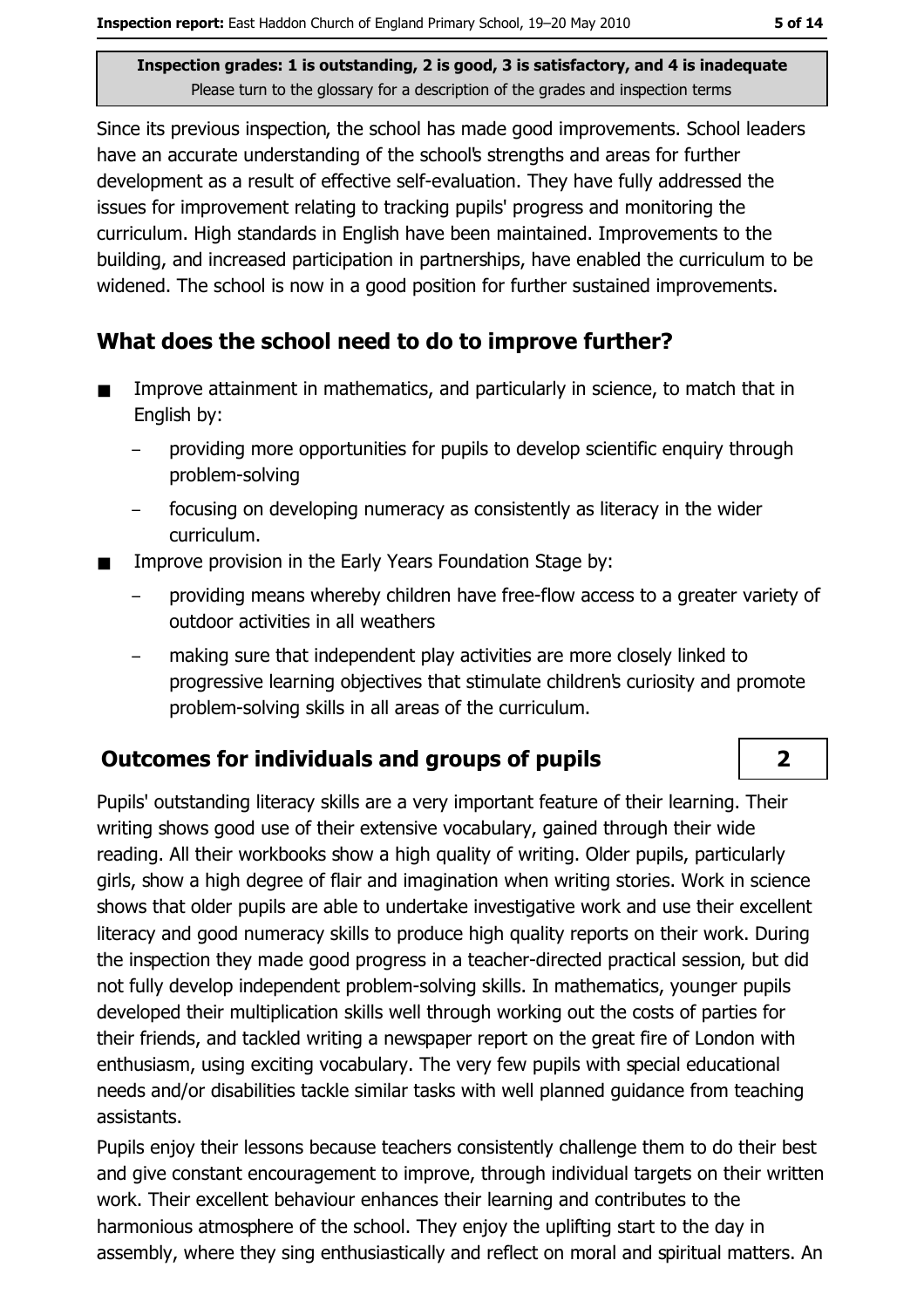Since its previous inspection, the school has made good improvements. School leaders have an accurate understanding of the school's strengths and areas for further development as a result of effective self-evaluation. They have fully addressed the issues for improvement relating to tracking pupils' progress and monitoring the curriculum. High standards in English have been maintained. Improvements to the building, and increased participation in partnerships, have enabled the curriculum to be widened. The school is now in a good position for further sustained improvements.

#### What does the school need to do to improve further?

- Improve attainment in mathematics, and particularly in science, to match that in  $\blacksquare$ English by:
	- providing more opportunities for pupils to develop scientific enquiry through problem-solving
	- focusing on developing numeracy as consistently as literacy in the wider curriculum.
- Improve provision in the Early Years Foundation Stage by:
	- providing means whereby children have free-flow access to a greater variety of  $\equiv$ outdoor activities in all weathers
	- making sure that independent play activities are more closely linked to progressive learning objectives that stimulate children's curiosity and promote problem-solving skills in all areas of the curriculum.

#### **Outcomes for individuals and groups of pupils**

Pupils' outstanding literacy skills are a very important feature of their learning. Their writing shows good use of their extensive vocabulary, gained through their wide reading. All their workbooks show a high quality of writing. Older pupils, particularly girls, show a high degree of flair and imagination when writing stories. Work in science shows that older pupils are able to undertake investigative work and use their excellent literacy and good numeracy skills to produce high quality reports on their work. During the inspection they made good progress in a teacher-directed practical session, but did not fully develop independent problem-solving skills. In mathematics, younger pupils developed their multiplication skills well through working out the costs of parties for their friends, and tackled writing a newspaper report on the great fire of London with enthusiasm, using exciting vocabulary. The very few pupils with special educational needs and/or disabilities tackle similar tasks with well planned guidance from teaching assistants.

Pupils enjoy their lessons because teachers consistently challenge them to do their best and give constant encouragement to improve, through individual targets on their written work. Their excellent behaviour enhances their learning and contributes to the harmonious atmosphere of the school. They enjoy the uplifting start to the day in assembly, where they sing enthusiastically and reflect on moral and spiritual matters. An

 $\overline{2}$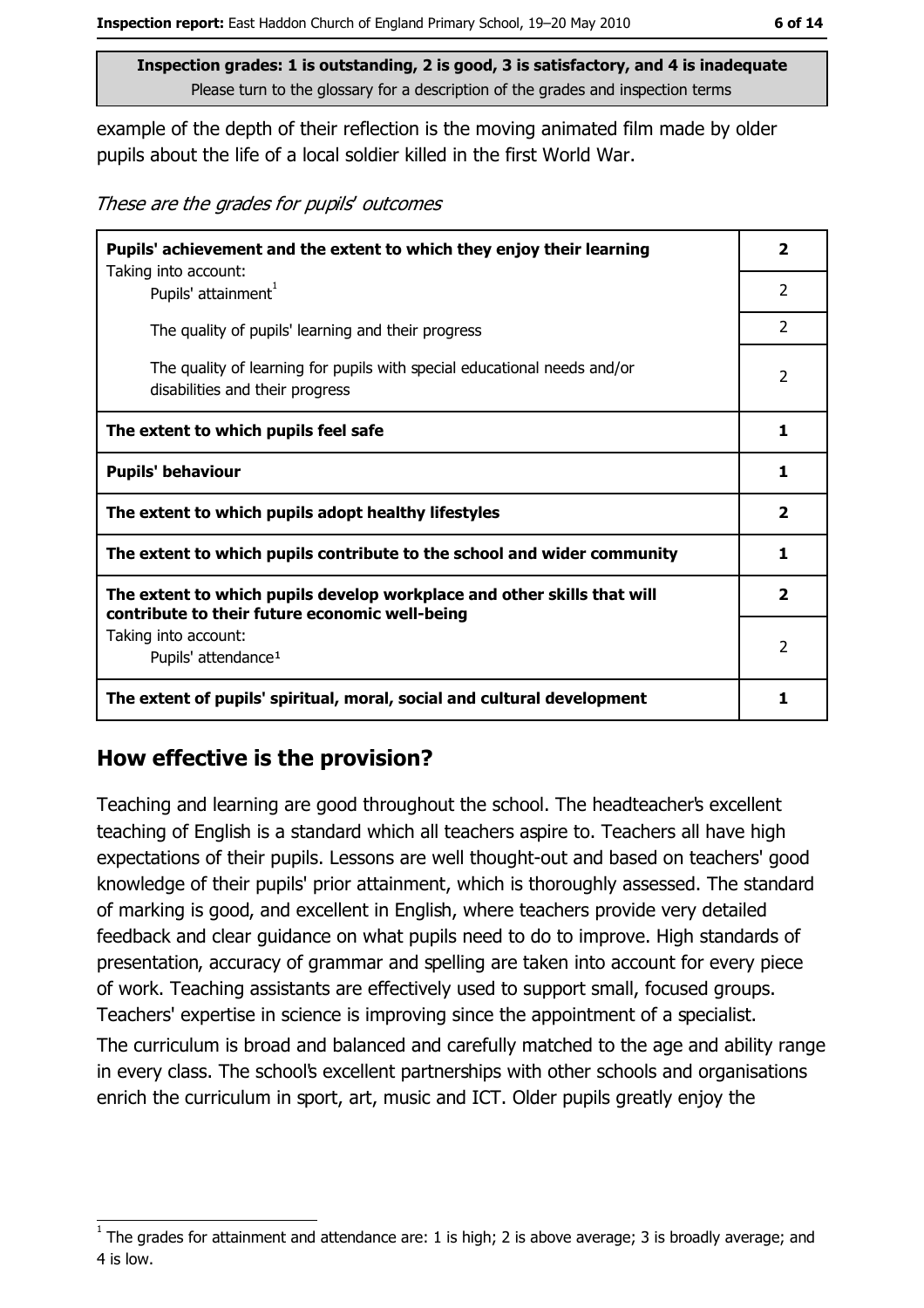example of the depth of their reflection is the moving animated film made by older pupils about the life of a local soldier killed in the first World War.

These are the grades for pupils' outcomes

| Pupils' achievement and the extent to which they enjoy their learning                                                     |               |
|---------------------------------------------------------------------------------------------------------------------------|---------------|
| Taking into account:<br>Pupils' attainment <sup>1</sup>                                                                   | 2             |
| The quality of pupils' learning and their progress                                                                        | 2             |
| The quality of learning for pupils with special educational needs and/or<br>disabilities and their progress               | $\mathcal{P}$ |
| The extent to which pupils feel safe                                                                                      |               |
| <b>Pupils' behaviour</b>                                                                                                  |               |
| The extent to which pupils adopt healthy lifestyles                                                                       |               |
| The extent to which pupils contribute to the school and wider community                                                   |               |
| The extent to which pupils develop workplace and other skills that will<br>contribute to their future economic well-being |               |
| Taking into account:<br>Pupils' attendance <sup>1</sup>                                                                   | $\mathcal{P}$ |
| The extent of pupils' spiritual, moral, social and cultural development                                                   |               |

#### How effective is the provision?

Teaching and learning are good throughout the school. The headteacher's excellent teaching of English is a standard which all teachers aspire to. Teachers all have high expectations of their pupils. Lessons are well thought-out and based on teachers' good knowledge of their pupils' prior attainment, which is thoroughly assessed. The standard of marking is good, and excellent in English, where teachers provide verv detailed feedback and clear quidance on what pupils need to do to improve. High standards of presentation, accuracy of grammar and spelling are taken into account for every piece of work. Teaching assistants are effectively used to support small, focused groups. Teachers' expertise in science is improving since the appointment of a specialist.

The curriculum is broad and balanced and carefully matched to the age and ability range in every class. The school's excellent partnerships with other schools and organisations enrich the curriculum in sport, art, music and ICT. Older pupils greatly enjoy the

The grades for attainment and attendance are: 1 is high; 2 is above average; 3 is broadly average; and 4 is low.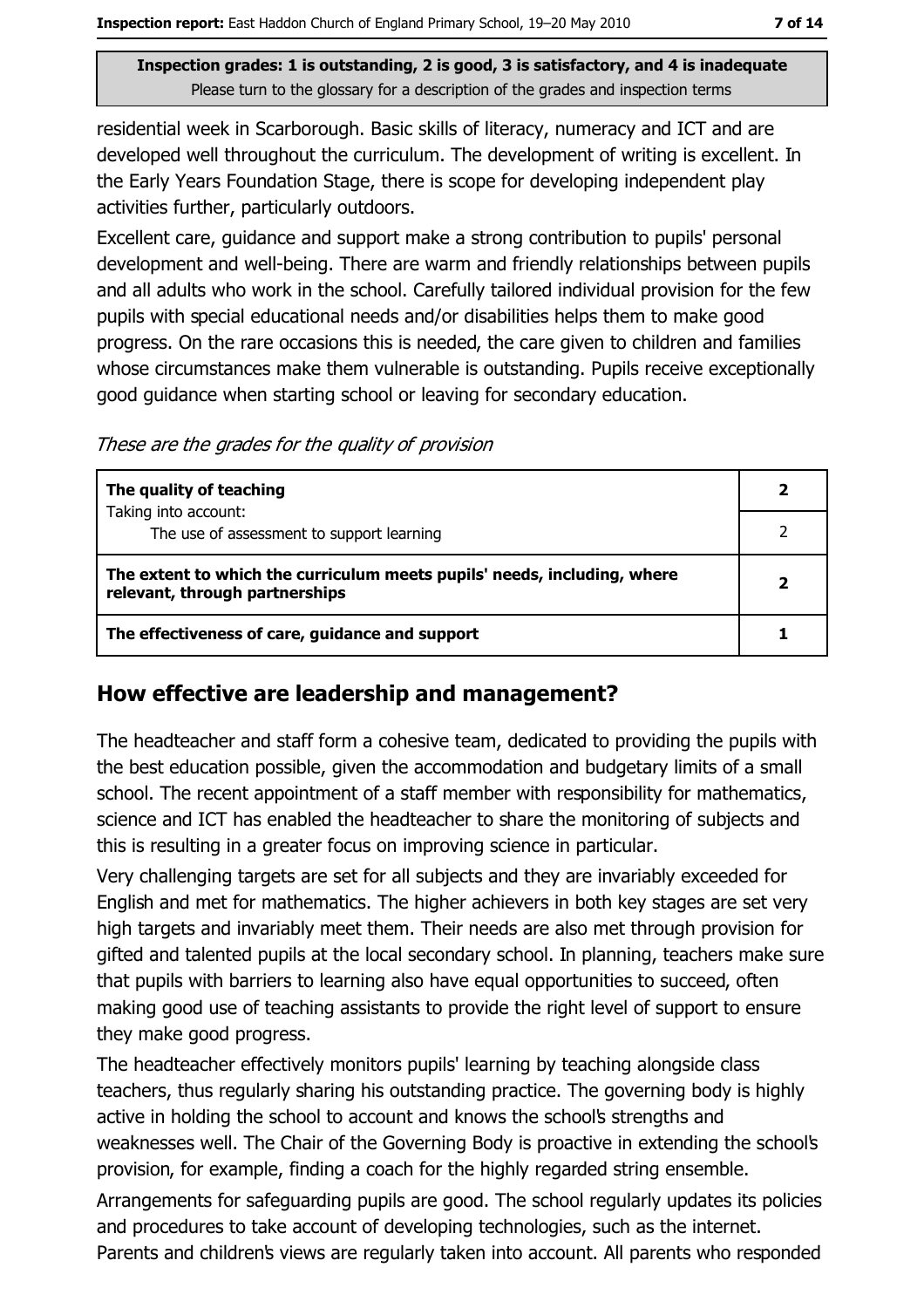residential week in Scarborough. Basic skills of literacy, numeracy and ICT and are developed well throughout the curriculum. The development of writing is excellent. In the Early Years Foundation Stage, there is scope for developing independent play activities further, particularly outdoors.

Excellent care, quidance and support make a strong contribution to pupils' personal development and well-being. There are warm and friendly relationships between pupils and all adults who work in the school. Carefully tailored individual provision for the few pupils with special educational needs and/or disabilities helps them to make good progress. On the rare occasions this is needed, the care given to children and families whose circumstances make them vulnerable is outstanding. Pupils receive exceptionally good guidance when starting school or leaving for secondary education.

These are the grades for the quality of provision

| The quality of teaching                                                                                    |  |
|------------------------------------------------------------------------------------------------------------|--|
| Taking into account:<br>The use of assessment to support learning                                          |  |
| The extent to which the curriculum meets pupils' needs, including, where<br>relevant, through partnerships |  |
| The effectiveness of care, guidance and support                                                            |  |

#### How effective are leadership and management?

The headteacher and staff form a cohesive team, dedicated to providing the pupils with the best education possible, given the accommodation and budgetary limits of a small school. The recent appointment of a staff member with responsibility for mathematics, science and ICT has enabled the headteacher to share the monitoring of subjects and this is resulting in a greater focus on improving science in particular.

Very challenging targets are set for all subjects and they are invariably exceeded for English and met for mathematics. The higher achievers in both key stages are set very high targets and invariably meet them. Their needs are also met through provision for gifted and talented pupils at the local secondary school. In planning, teachers make sure that pupils with barriers to learning also have equal opportunities to succeed, often making good use of teaching assistants to provide the right level of support to ensure they make good progress.

The headteacher effectively monitors pupils' learning by teaching alongside class teachers, thus regularly sharing his outstanding practice. The governing body is highly active in holding the school to account and knows the school's strengths and weaknesses well. The Chair of the Governing Body is proactive in extending the school's provision, for example, finding a coach for the highly regarded string ensemble.

Arrangements for safeguarding pupils are good. The school regularly updates its policies and procedures to take account of developing technologies, such as the internet. Parents and children's views are regularly taken into account. All parents who responded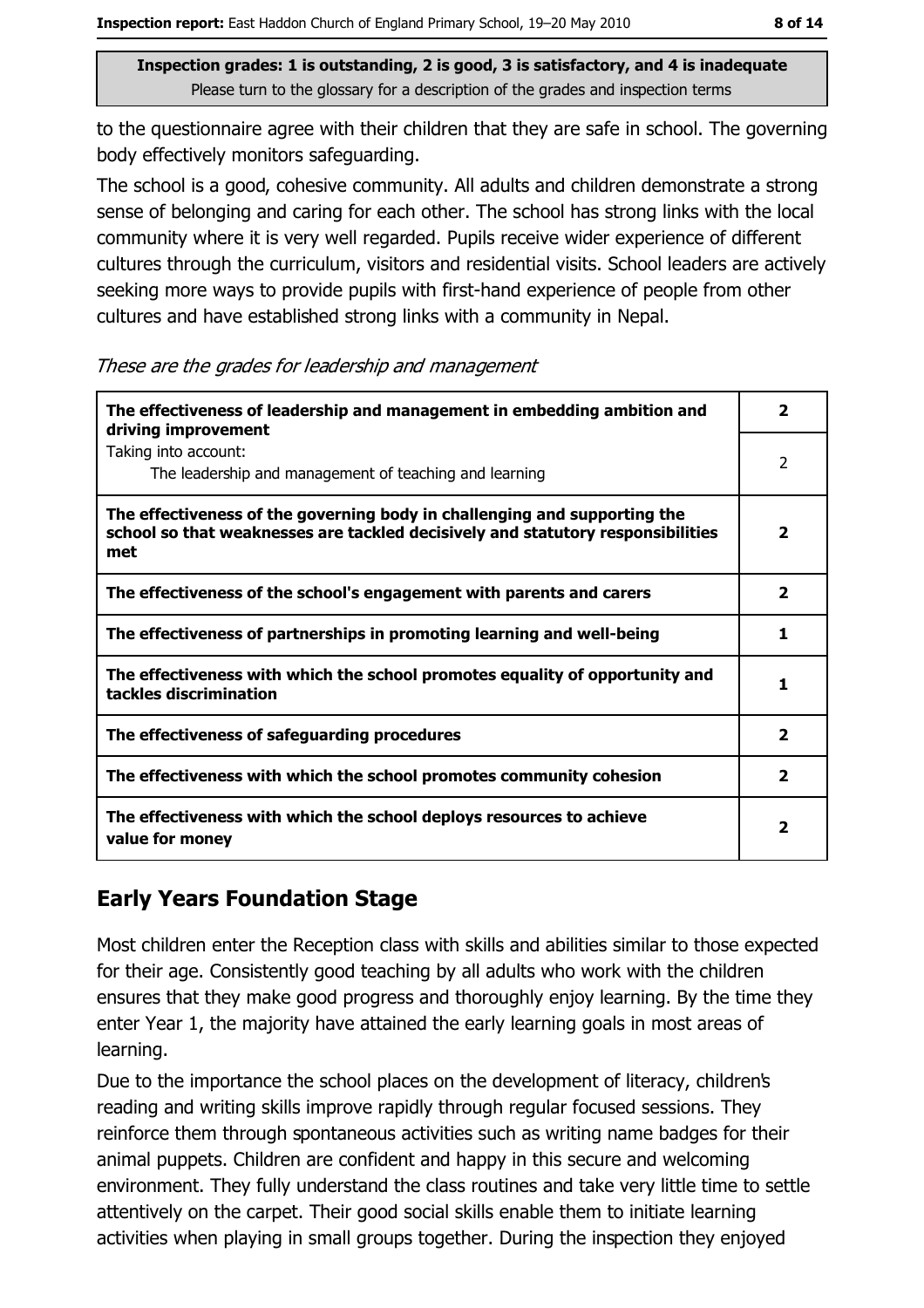to the questionnaire agree with their children that they are safe in school. The governing body effectively monitors safeguarding.

The school is a good, cohesive community. All adults and children demonstrate a strong sense of belonging and caring for each other. The school has strong links with the local community where it is very well regarded. Pupils receive wider experience of different cultures through the curriculum, visitors and residential visits. School leaders are actively seeking more ways to provide pupils with first-hand experience of people from other cultures and have established strong links with a community in Nepal.

These are the grades for leadership and management

| The effectiveness of leadership and management in embedding ambition and<br>driving improvement                                                                     | 2                       |
|---------------------------------------------------------------------------------------------------------------------------------------------------------------------|-------------------------|
| Taking into account:<br>The leadership and management of teaching and learning                                                                                      | 2                       |
| The effectiveness of the governing body in challenging and supporting the<br>school so that weaknesses are tackled decisively and statutory responsibilities<br>met | $\overline{\mathbf{2}}$ |
| The effectiveness of the school's engagement with parents and carers                                                                                                | 2                       |
| The effectiveness of partnerships in promoting learning and well-being                                                                                              | 1                       |
| The effectiveness with which the school promotes equality of opportunity and<br>tackles discrimination                                                              | 1                       |
| The effectiveness of safeguarding procedures                                                                                                                        | $\mathbf{2}$            |
| The effectiveness with which the school promotes community cohesion                                                                                                 | 2                       |
| The effectiveness with which the school deploys resources to achieve<br>value for money                                                                             | $\mathbf{2}$            |

#### **Early Years Foundation Stage**

Most children enter the Reception class with skills and abilities similar to those expected for their age. Consistently good teaching by all adults who work with the children ensures that they make good progress and thoroughly enjoy learning. By the time they enter Year 1, the majority have attained the early learning goals in most areas of learning.

Due to the importance the school places on the development of literacy, children's reading and writing skills improve rapidly through regular focused sessions. They reinforce them through spontaneous activities such as writing name badges for their animal puppets. Children are confident and happy in this secure and welcoming environment. They fully understand the class routines and take very little time to settle attentively on the carpet. Their good social skills enable them to initiate learning activities when playing in small groups together. During the inspection they enjoyed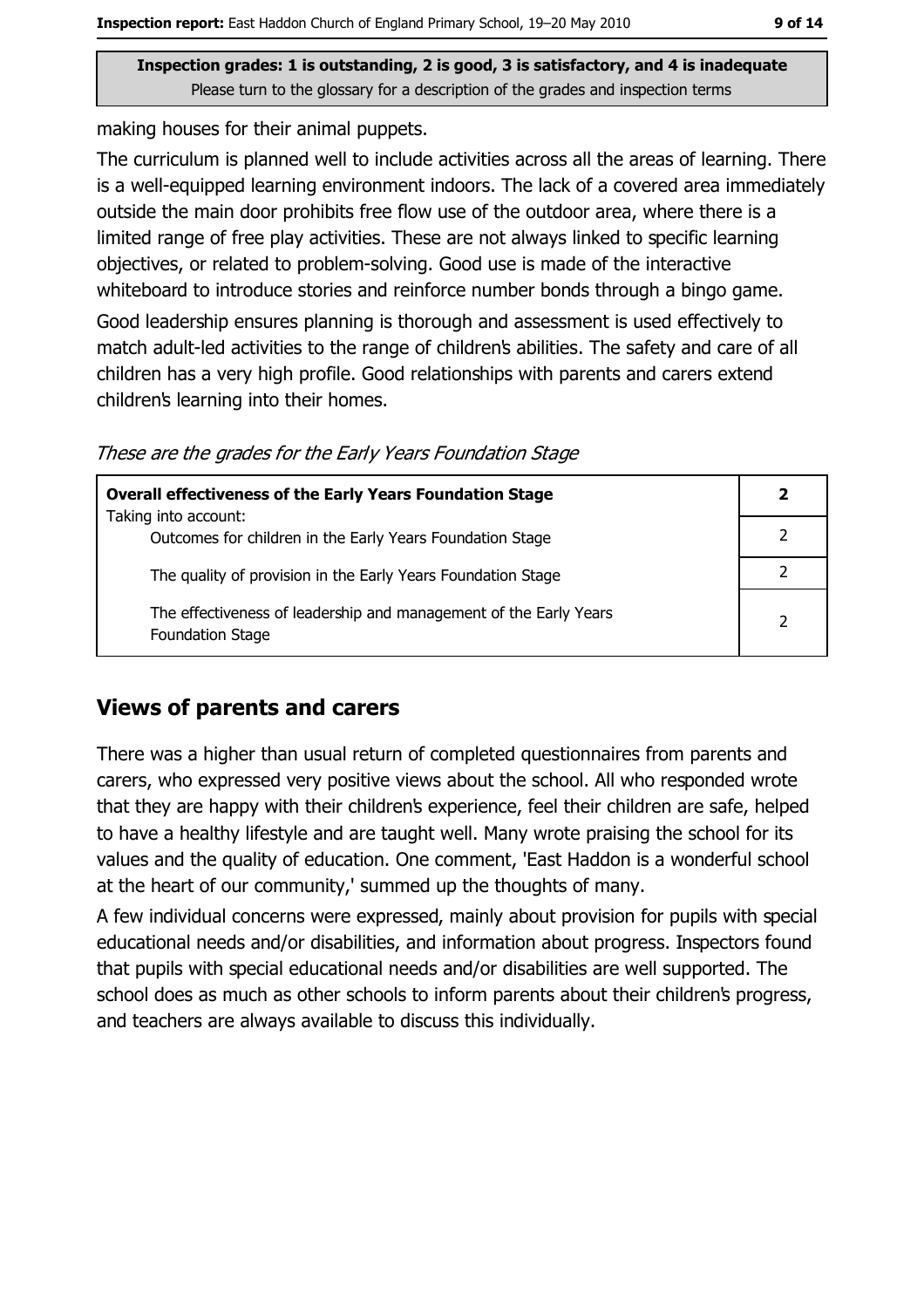making houses for their animal puppets.

The curriculum is planned well to include activities across all the areas of learning. There is a well-equipped learning environment indoors. The lack of a covered area immediately outside the main door prohibits free flow use of the outdoor area, where there is a limited range of free play activities. These are not always linked to specific learning objectives, or related to problem-solving. Good use is made of the interactive whiteboard to introduce stories and reinforce number bonds through a bingo game.

Good leadership ensures planning is thorough and assessment is used effectively to match adult-led activities to the range of children's abilities. The safety and care of all children has a very high profile. Good relationships with parents and carers extend children's learning into their homes.

These are the grades for the Early Years Foundation Stage

| <b>Overall effectiveness of the Early Years Foundation Stage</b>                             |   |
|----------------------------------------------------------------------------------------------|---|
| Taking into account:<br>Outcomes for children in the Early Years Foundation Stage            |   |
| The quality of provision in the Early Years Foundation Stage                                 |   |
| The effectiveness of leadership and management of the Early Years<br><b>Foundation Stage</b> | 2 |

#### **Views of parents and carers**

There was a higher than usual return of completed questionnaires from parents and carers, who expressed very positive views about the school. All who responded wrote that they are happy with their children's experience, feel their children are safe, helped to have a healthy lifestyle and are taught well. Many wrote praising the school for its values and the quality of education. One comment, 'East Haddon is a wonderful school at the heart of our community,' summed up the thoughts of many.

A few individual concerns were expressed, mainly about provision for pupils with special educational needs and/or disabilities, and information about progress. Inspectors found that pupils with special educational needs and/or disabilities are well supported. The school does as much as other schools to inform parents about their children's progress, and teachers are always available to discuss this individually.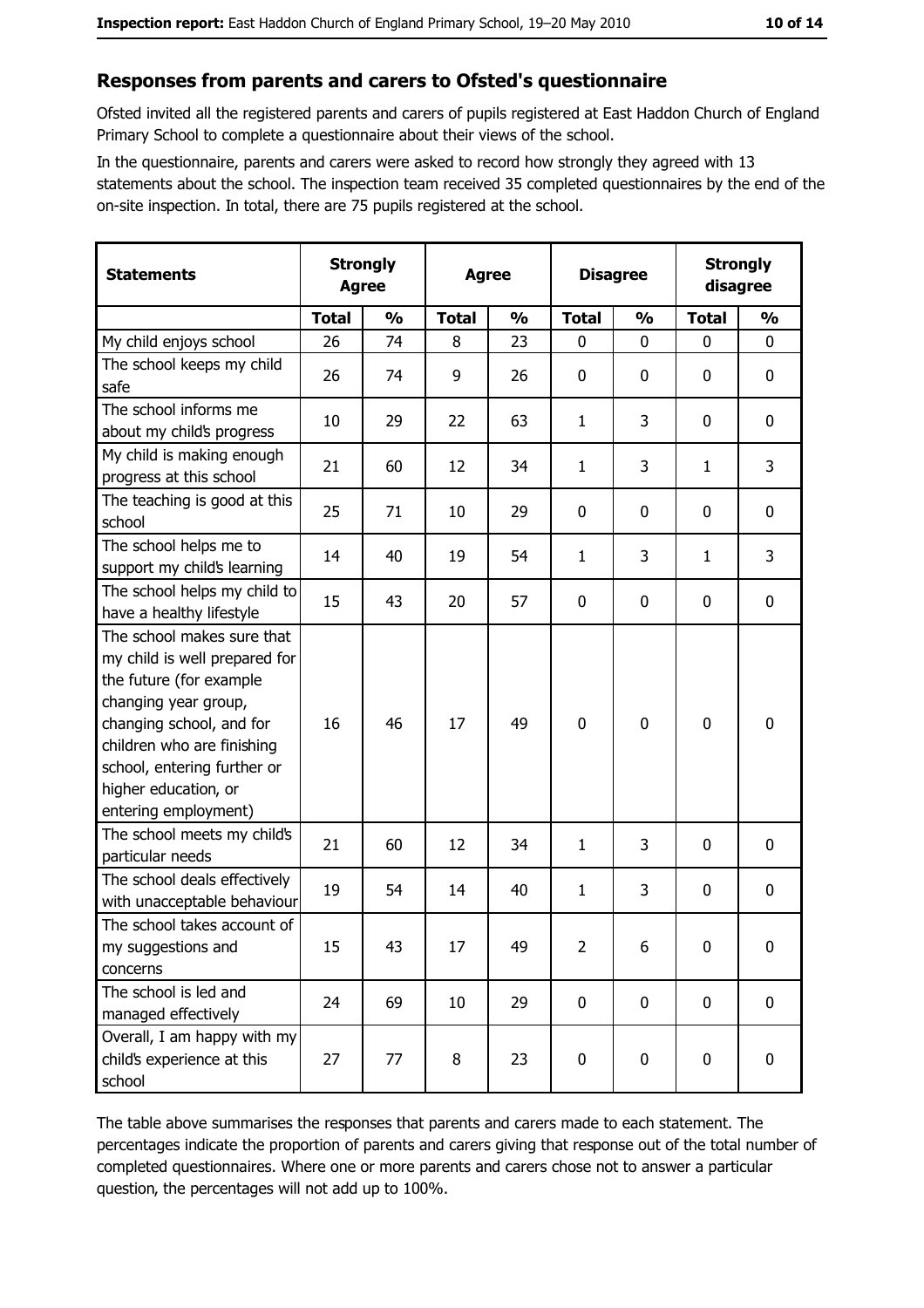#### Responses from parents and carers to Ofsted's questionnaire

Ofsted invited all the registered parents and carers of pupils registered at East Haddon Church of England Primary School to complete a questionnaire about their views of the school.

In the questionnaire, parents and carers were asked to record how strongly they agreed with 13 statements about the school. The inspection team received 35 completed questionnaires by the end of the on-site inspection. In total, there are 75 pupils registered at the school.

| <b>Statements</b>                                                                                                                                                                                                                                       | <b>Strongly</b><br><b>Agree</b> |               | <b>Agree</b> |               |                | <b>Disagree</b> |              | <b>Strongly</b><br>disagree |  |
|---------------------------------------------------------------------------------------------------------------------------------------------------------------------------------------------------------------------------------------------------------|---------------------------------|---------------|--------------|---------------|----------------|-----------------|--------------|-----------------------------|--|
|                                                                                                                                                                                                                                                         | <b>Total</b>                    | $\frac{0}{0}$ | <b>Total</b> | $\frac{0}{0}$ | <b>Total</b>   | $\frac{1}{2}$   | <b>Total</b> | $\frac{0}{0}$               |  |
| My child enjoys school                                                                                                                                                                                                                                  | 26                              | 74            | 8            | 23            | $\mathbf{0}$   | $\mathbf{0}$    | $\mathbf{0}$ | $\mathbf{0}$                |  |
| The school keeps my child<br>safe                                                                                                                                                                                                                       | 26                              | 74            | 9            | 26            | $\bf{0}$       | 0               | 0            | $\mathbf 0$                 |  |
| The school informs me<br>about my child's progress                                                                                                                                                                                                      | 10                              | 29            | 22           | 63            | $\mathbf{1}$   | 3               | 0            | 0                           |  |
| My child is making enough<br>progress at this school                                                                                                                                                                                                    | 21                              | 60            | 12           | 34            | $\mathbf{1}$   | 3               | 1            | 3                           |  |
| The teaching is good at this<br>school                                                                                                                                                                                                                  | 25                              | 71            | 10           | 29            | $\mathbf 0$    | 0               | 0            | $\mathbf 0$                 |  |
| The school helps me to<br>support my child's learning                                                                                                                                                                                                   | 14                              | 40            | 19           | 54            | $\mathbf{1}$   | 3               | 1            | 3                           |  |
| The school helps my child to<br>have a healthy lifestyle                                                                                                                                                                                                | 15                              | 43            | 20           | 57            | 0              | 0               | 0            | $\mathbf 0$                 |  |
| The school makes sure that<br>my child is well prepared for<br>the future (for example<br>changing year group,<br>changing school, and for<br>children who are finishing<br>school, entering further or<br>higher education, or<br>entering employment) | 16                              | 46            | 17           | 49            | $\mathbf 0$    | 0               | $\mathbf 0$  | $\mathbf 0$                 |  |
| The school meets my child's<br>particular needs                                                                                                                                                                                                         | 21                              | 60            | 12           | 34            | $\mathbf{1}$   | 3               | 0            | $\mathbf 0$                 |  |
| The school deals effectively<br>with unacceptable behaviour                                                                                                                                                                                             | 19                              | 54            | 14           | 40            | $\mathbf{1}$   | 3               | 0            | $\boldsymbol{0}$            |  |
| The school takes account of<br>my suggestions and<br>concerns                                                                                                                                                                                           | 15                              | 43            | 17           | 49            | $\overline{2}$ | 6               | 0            | $\boldsymbol{0}$            |  |
| The school is led and<br>managed effectively                                                                                                                                                                                                            | 24                              | 69            | 10           | 29            | $\mathbf 0$    | 0               | $\mathbf 0$  | $\mathbf 0$                 |  |
| Overall, I am happy with my<br>child's experience at this<br>school                                                                                                                                                                                     | 27                              | 77            | 8            | 23            | $\mathbf 0$    | 0               | $\mathbf 0$  | $\mathbf 0$                 |  |

The table above summarises the responses that parents and carers made to each statement. The percentages indicate the proportion of parents and carers giving that response out of the total number of completed questionnaires. Where one or more parents and carers chose not to answer a particular question, the percentages will not add up to 100%.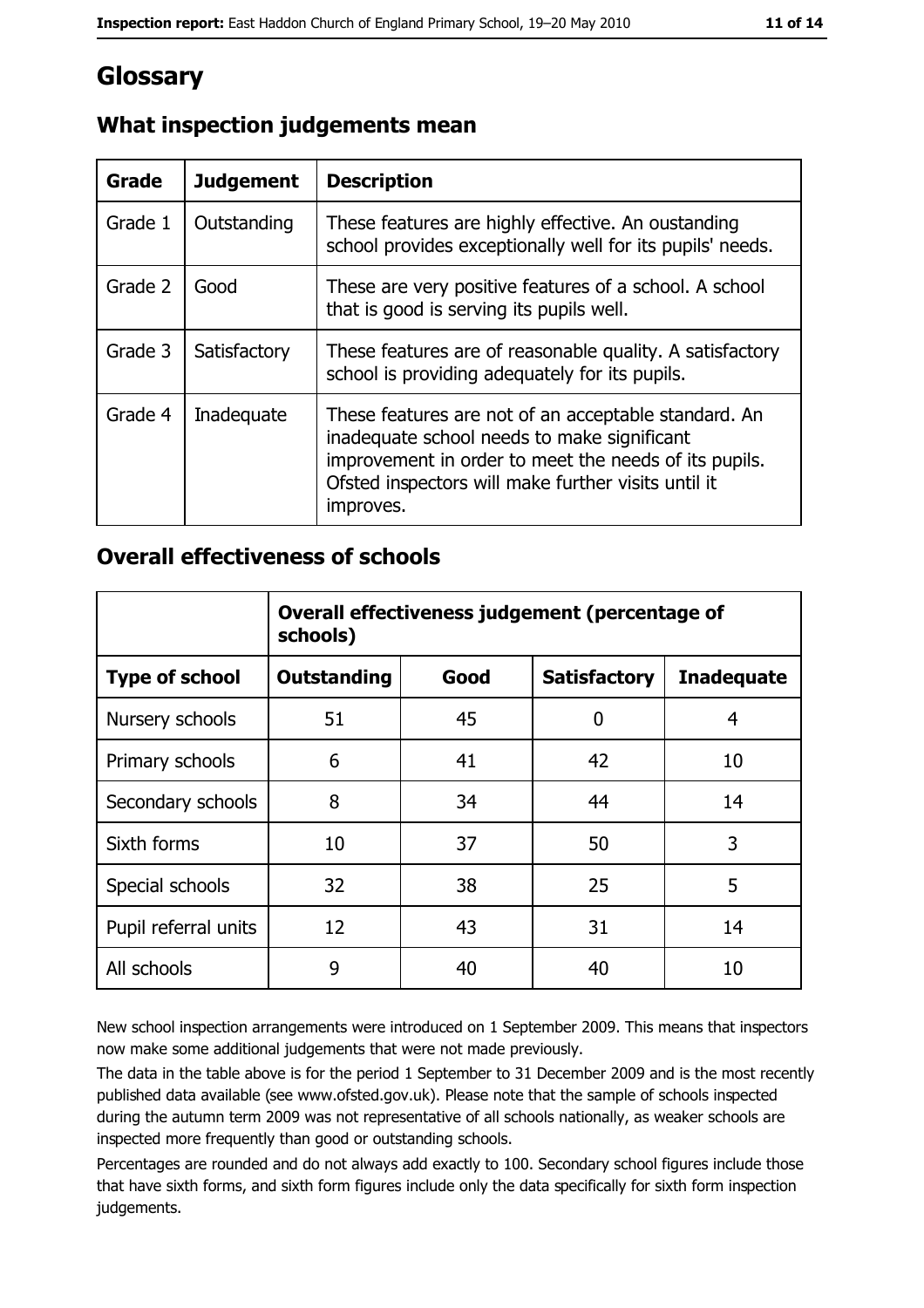## **Glossary**

| <b>Grade</b> | <b>Judgement</b> | <b>Description</b>                                                                                                                                                                                                               |
|--------------|------------------|----------------------------------------------------------------------------------------------------------------------------------------------------------------------------------------------------------------------------------|
| Grade 1      | Outstanding      | These features are highly effective. An oustanding<br>school provides exceptionally well for its pupils' needs.                                                                                                                  |
| Grade 2      | Good             | These are very positive features of a school. A school<br>that is good is serving its pupils well.                                                                                                                               |
| Grade 3      | Satisfactory     | These features are of reasonable quality. A satisfactory<br>school is providing adequately for its pupils.                                                                                                                       |
| Grade 4      | Inadequate       | These features are not of an acceptable standard. An<br>inadequate school needs to make significant<br>improvement in order to meet the needs of its pupils.<br>Ofsted inspectors will make further visits until it<br>improves. |

#### What inspection judgements mean

#### **Overall effectiveness of schools**

|                       | Overall effectiveness judgement (percentage of<br>schools) |      |                     |                   |
|-----------------------|------------------------------------------------------------|------|---------------------|-------------------|
| <b>Type of school</b> | <b>Outstanding</b>                                         | Good | <b>Satisfactory</b> | <b>Inadequate</b> |
| Nursery schools       | 51                                                         | 45   | 0                   | 4                 |
| Primary schools       | 6                                                          | 41   | 42                  | 10                |
| Secondary schools     | 8                                                          | 34   | 44                  | 14                |
| Sixth forms           | 10                                                         | 37   | 50                  | 3                 |
| Special schools       | 32                                                         | 38   | 25                  | 5                 |
| Pupil referral units  | 12                                                         | 43   | 31                  | 14                |
| All schools           | 9                                                          | 40   | 40                  | 10                |

New school inspection arrangements were introduced on 1 September 2009. This means that inspectors now make some additional judgements that were not made previously.

The data in the table above is for the period 1 September to 31 December 2009 and is the most recently published data available (see www.ofsted.gov.uk). Please note that the sample of schools inspected during the autumn term 2009 was not representative of all schools nationally, as weaker schools are inspected more frequently than good or outstanding schools.

Percentages are rounded and do not always add exactly to 100. Secondary school figures include those that have sixth forms, and sixth form figures include only the data specifically for sixth form inspection judgements.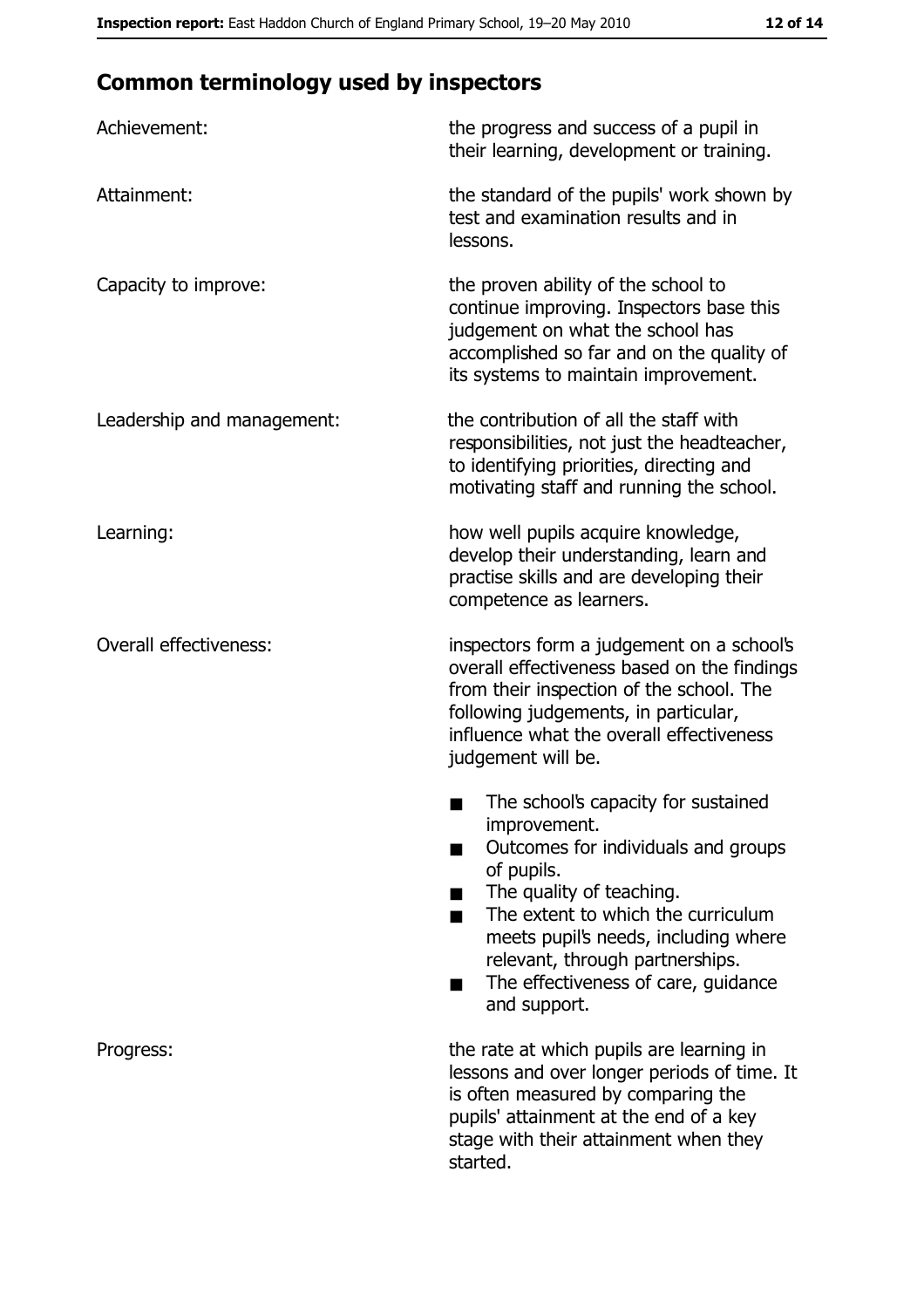## **Common terminology used by inspectors**

| Achievement:                  | the progress and success of a pupil in<br>their learning, development or training.                                                                                                                                                                                                                           |
|-------------------------------|--------------------------------------------------------------------------------------------------------------------------------------------------------------------------------------------------------------------------------------------------------------------------------------------------------------|
| Attainment:                   | the standard of the pupils' work shown by<br>test and examination results and in<br>lessons.                                                                                                                                                                                                                 |
| Capacity to improve:          | the proven ability of the school to<br>continue improving. Inspectors base this<br>judgement on what the school has<br>accomplished so far and on the quality of<br>its systems to maintain improvement.                                                                                                     |
| Leadership and management:    | the contribution of all the staff with<br>responsibilities, not just the headteacher,<br>to identifying priorities, directing and<br>motivating staff and running the school.                                                                                                                                |
| Learning:                     | how well pupils acquire knowledge,<br>develop their understanding, learn and<br>practise skills and are developing their<br>competence as learners.                                                                                                                                                          |
| <b>Overall effectiveness:</b> | inspectors form a judgement on a school's<br>overall effectiveness based on the findings<br>from their inspection of the school. The<br>following judgements, in particular,<br>influence what the overall effectiveness<br>judgement will be.                                                               |
|                               | The school's capacity for sustained<br>improvement.<br>Outcomes for individuals and groups<br>of pupils.<br>The quality of teaching.<br>The extent to which the curriculum<br>meets pupil's needs, including where<br>relevant, through partnerships.<br>The effectiveness of care, guidance<br>and support. |
| Progress:                     | the rate at which pupils are learning in<br>lessons and over longer periods of time. It<br>is often measured by comparing the<br>pupils' attainment at the end of a key<br>stage with their attainment when they<br>started.                                                                                 |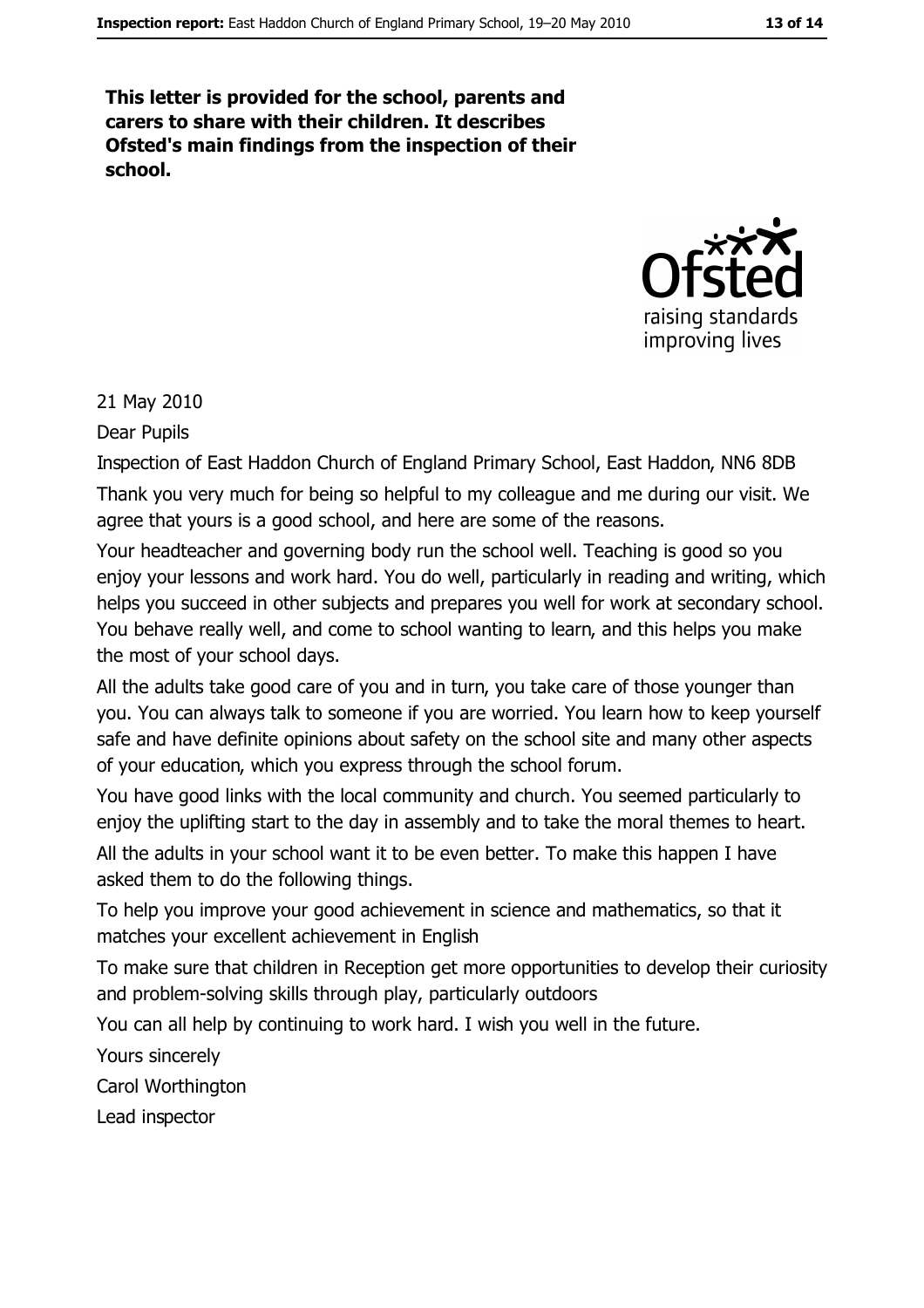This letter is provided for the school, parents and carers to share with their children. It describes Ofsted's main findings from the inspection of their school.



#### 21 May 2010

Dear Pupils

Inspection of East Haddon Church of England Primary School, East Haddon, NN6 8DB Thank you very much for being so helpful to my colleague and me during our visit. We agree that yours is a good school, and here are some of the reasons.

Your headteacher and governing body run the school well. Teaching is good so you enjoy your lessons and work hard. You do well, particularly in reading and writing, which helps you succeed in other subjects and prepares you well for work at secondary school. You behave really well, and come to school wanting to learn, and this helps you make the most of your school days.

All the adults take good care of you and in turn, you take care of those younger than you. You can always talk to someone if you are worried. You learn how to keep yourself safe and have definite opinions about safety on the school site and many other aspects of your education, which you express through the school forum.

You have good links with the local community and church. You seemed particularly to enjoy the uplifting start to the day in assembly and to take the moral themes to heart. All the adults in your school want it to be even better. To make this happen I have asked them to do the following things.

To help you improve your good achievement in science and mathematics, so that it matches your excellent achievement in English

To make sure that children in Reception get more opportunities to develop their curiosity and problem-solving skills through play, particularly outdoors

You can all help by continuing to work hard. I wish you well in the future.

Yours sincerely

Carol Worthington

Lead inspector